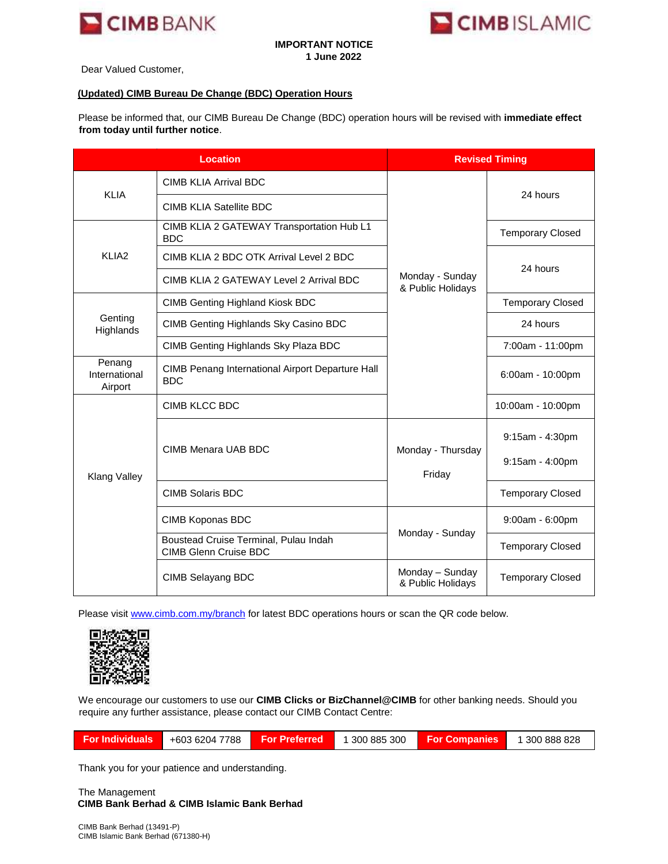

## **IMPORTANT NOTICE 1 June 2022**



Dear Valued Customer,

## **(Updated) CIMB Bureau De Change (BDC) Operation Hours**

Please be informed that, our CIMB Bureau De Change (BDC) operation hours will be revised with **immediate effect from today until further notice**.

| <b>Location</b>                    |                                                                       | <b>Revised Timing</b>                |                                    |
|------------------------------------|-----------------------------------------------------------------------|--------------------------------------|------------------------------------|
| <b>KLIA</b>                        | <b>CIMB KLIA Arrival BDC</b>                                          |                                      | 24 hours                           |
|                                    | <b>CIMB KLIA Satellite BDC</b>                                        |                                      |                                    |
| KLIA <sub>2</sub>                  | CIMB KLIA 2 GATEWAY Transportation Hub L1<br><b>BDC</b>               |                                      | <b>Temporary Closed</b>            |
|                                    | CIMB KLIA 2 BDC OTK Arrival Level 2 BDC                               |                                      | 24 hours                           |
|                                    | CIMB KLIA 2 GATEWAY Level 2 Arrival BDC                               | Monday - Sunday<br>& Public Holidays |                                    |
| Genting<br>Highlands               | <b>CIMB Genting Highland Kiosk BDC</b>                                |                                      | <b>Temporary Closed</b>            |
|                                    | CIMB Genting Highlands Sky Casino BDC                                 |                                      | 24 hours                           |
|                                    | CIMB Genting Highlands Sky Plaza BDC                                  |                                      | 7:00am - 11:00pm                   |
| Penang<br>International<br>Airport | CIMB Penang International Airport Departure Hall<br><b>BDC</b>        |                                      | 6:00am - 10:00pm                   |
| Klang Valley                       | CIMB KLCC BDC                                                         |                                      | 10:00am - 10:00pm                  |
|                                    | CIMB Menara UAB BDC                                                   | Monday - Thursday<br>Friday          | 9:15am - 4:30pm<br>9:15am - 4:00pm |
|                                    | <b>CIMB Solaris BDC</b>                                               |                                      | <b>Temporary Closed</b>            |
|                                    | CIMB Koponas BDC                                                      |                                      | 9:00am - 6:00pm                    |
|                                    | Boustead Cruise Terminal, Pulau Indah<br><b>CIMB Glenn Cruise BDC</b> | Monday - Sunday                      | <b>Temporary Closed</b>            |
|                                    | CIMB Selayang BDC                                                     | Monday - Sunday<br>& Public Holidays | <b>Temporary Closed</b>            |

Please visit [www.cimb.com.my/branch](http://www.cimb.com.my/branch) [f](http://www.cimb.com.my/branch)or latest BDC operations hours or scan the QR code below.



We encourage our customers to use our **CIMB Clicks or BizChannel@CIMB** for other banking needs. Should you require any further assistance, please contact our CIMB Contact Centre:

| <b>For Individuals</b><br>+603 6204 7788<br>∟ For Preferred <sup>i</sup> | 1 300 885 300 | <b>For Companies</b> | 1 300 888 828 |
|--------------------------------------------------------------------------|---------------|----------------------|---------------|
|--------------------------------------------------------------------------|---------------|----------------------|---------------|

Thank you for your patience and understanding.

The Management **CIMB Bank Berhad & CIMB Islamic Bank Berhad**